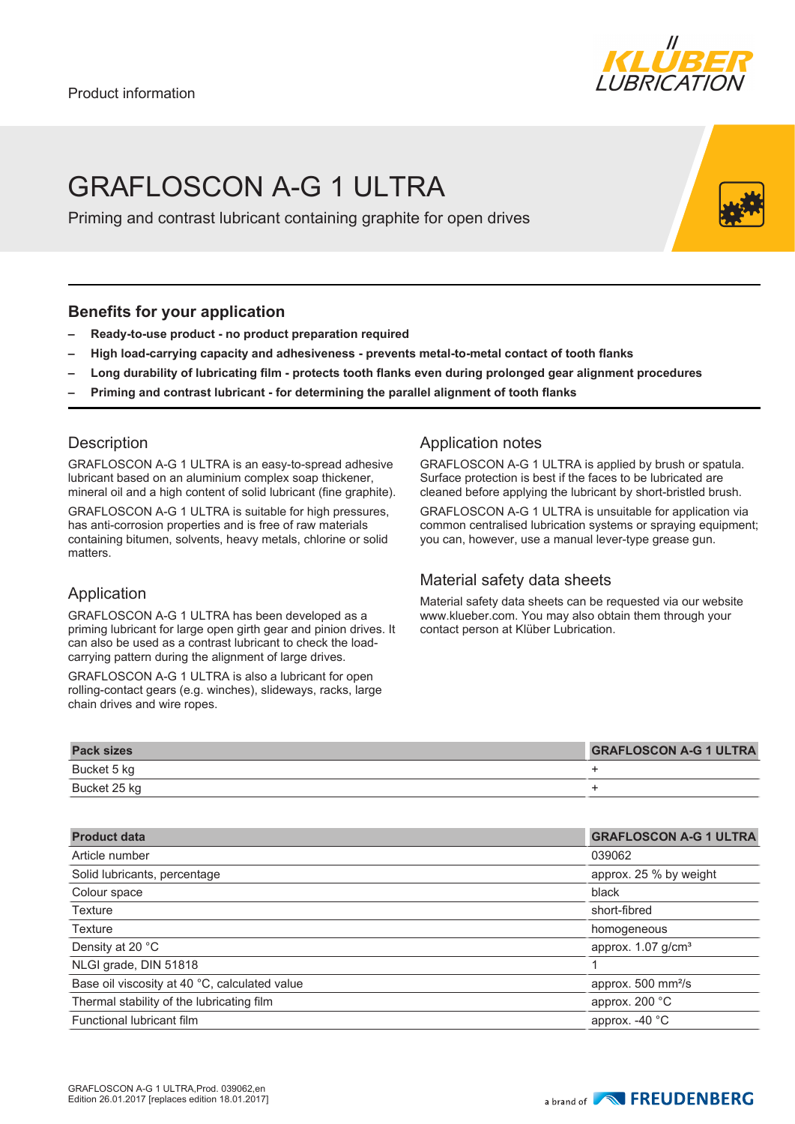

# GRAFI OSCON A-G 1 ULTRA

Priming and contrast lubricant containing graphite for open drives

### **Benefits for your application**

- **– Ready-to-use product no product preparation required**
- **– High load-carrying capacity and adhesiveness prevents metal-to-metal contact of tooth flanks**
- **– Long durability of lubricating film protects tooth flanks even during prolonged gear alignment procedures**
- **– Priming and contrast lubricant for determining the parallel alignment of tooth flanks**

### **Description**

GRAFLOSCON A-G 1 ULTRA is an easy-to-spread adhesive lubricant based on an aluminium complex soap thickener, mineral oil and a high content of solid lubricant (fine graphite).

GRAFLOSCON A-G 1 ULTRA is suitable for high pressures, has anti-corrosion properties and is free of raw materials containing bitumen, solvents, heavy metals, chlorine or solid matters.

## Application

GRAFLOSCON A-G 1 ULTRA has been developed as a priming lubricant for large open girth gear and pinion drives. It can also be used as a contrast lubricant to check the loadcarrying pattern during the alignment of large drives.

GRAFLOSCON A-G 1 ULTRA is also a lubricant for open rolling-contact gears (e.g. winches), slideways, racks, large chain drives and wire ropes.

# Application notes

GRAFLOSCON A-G 1 ULTRA is applied by brush or spatula. Surface protection is best if the faces to be lubricated are cleaned before applying the lubricant by short-bristled brush.

GRAFLOSCON A-G 1 ULTRA is unsuitable for application via common centralised lubrication systems or spraying equipment; you can, however, use a manual lever-type grease gun.

#### Material safety data sheets

Material safety data sheets can be requested via our website www.klueber.com. You may also obtain them through your contact person at Klüber Lubrication.

| <b>Pack sizes</b> | <b>GRAFLOSCON A-G 1 ULTRA</b> |
|-------------------|-------------------------------|
| Bucket 5 kg       |                               |
| Bucket 25 kg      |                               |

| <b>Product data</b>                           | <b>GRAFLOSCON A-G 1 ULTRA</b>    |
|-----------------------------------------------|----------------------------------|
| Article number                                | 039062                           |
| Solid lubricants, percentage                  | approx. 25 % by weight           |
| Colour space                                  | black                            |
| <b>Texture</b>                                | short-fibred                     |
| <b>Texture</b>                                | homogeneous                      |
| Density at 20 °C                              | approx. $1.07$ g/cm <sup>3</sup> |
| NLGI grade, DIN 51818                         |                                  |
| Base oil viscosity at 40 °C, calculated value | approx. 500 mm <sup>2</sup> /s   |
| Thermal stability of the lubricating film     | approx. 200 °C                   |
| Functional lubricant film                     | approx. -40 °C                   |
|                                               |                                  |